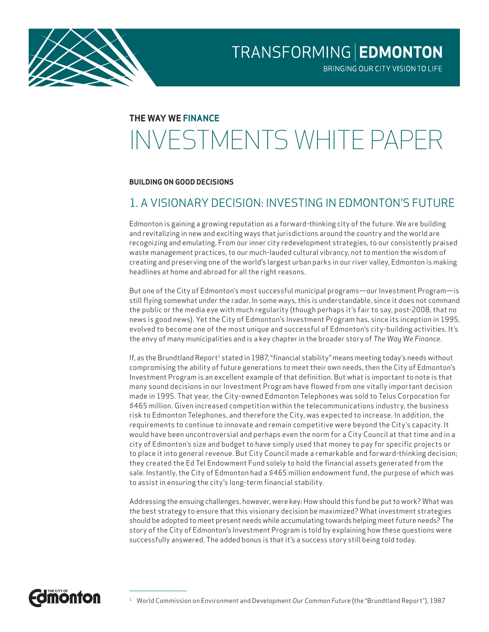

BRINGING OUR CITY VISION TO LIFE

# **THE WAY WE FINANCE** INVESTMENTS WHITE PAPER

#### **BUILDING ON GOOD DECISIONS**

# 1. A VISIONARY DECISION: INVESTING IN EDMONTON'S FUTURE

Edmonton is gaining a growing reputation as a forward-thinking city of the future. We are building and revitalizing in new and exciting ways that jurisdictions around the country and the world are recognizing and emulating. From our inner city redevelopment strategies, to our consistently praised waste management practices, to our much-lauded cultural vibrancy, not to mention the wisdom of creating and preserving one of the world's largest urban parks in our river valley, Edmonton is making headlines at home and abroad for all the right reasons.

But one of the City of Edmonton's most successful municipal programs—our Investment Program—is still flying somewhat under the radar. In some ways, this is understandable, since it does not command the public or the media eye with much regularity (though perhaps it's fair to say, post-2008, that no news is good news). Yet the City of Edmonton's Investment Program has, since its inception in 1995, evolved to become one of the most unique and successful of Edmonton's city-building activities. It's the envy of many municipalities and is a key chapter in the broader story of *The Way We Finance*.

If, as the Brundtland Report<sup>1</sup> stated in 1987, "financial stability" means meeting today's needs without compromising the ability of future generations to meet their own needs, then the City of Edmonton's Investment Program is an excellent example of that definition. But what is important to note is that many sound decisions in our Investment Program have flowed from one vitally important decision made in 1995. That year, the City-owned Edmonton Telephones was sold to Telus Corporation for \$465 million. Given increased competition within the telecommunications industry, the business risk to Edmonton Telephones, and therefore the City, was expected to increase. In addition, the requirements to continue to innovate and remain competitive were beyond the City's capacity. It would have been uncontroversial and perhaps even the norm for a City Council at that time and in a city of Edmonton's size and budget to have simply used that money to pay for specific projects or to place it into general revenue. But City Council made a remarkable and forward-thinking decision; they created the Ed Tel Endowment Fund solely to hold the financial assets generated from the sale. Instantly, the City of Edmonton had a \$465 million endowment fund, the purpose of which was to assist in ensuring the city's long-term financial stability.

Addressing the ensuing challenges, however, were key: How should this fund be put to work? What was the best strategy to ensure that this visionary decision be maximized? What investment strategies should be adopted to meet present needs while accumulating towards helping meet future needs? The story of the City of Edmonton's Investment Program is told by explaining how these questions were successfully answered. The added bonus is that it's a success story still being told today.

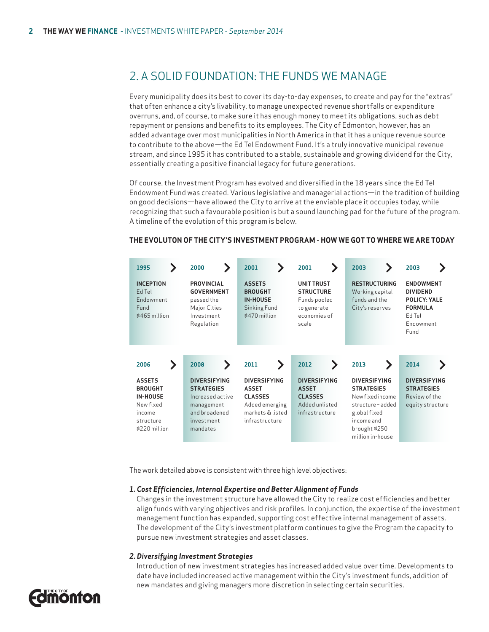# 2. A SOLID FOUNDATION: THE FUNDS WE MANAGE

Every municipality does its best to cover its day-to-day expenses, to create and pay for the "extras" that often enhance a city's livability, to manage unexpected revenue shortfalls or expenditure overruns, and, of course, to make sure it has enough money to meet its obligations, such as debt repayment or pensions and benefits to its employees. The City of Edmonton, however, has an added advantage over most municipalities in North America in that it has a unique revenue source to contribute to the above—the Ed Tel Endowment Fund. It's a truly innovative municipal revenue stream, and since 1995 it has contributed to a stable, sustainable and growing dividend for the City, essentially creating a positive financial legacy for future generations.

Of course, the Investment Program has evolved and diversified in the 18 years since the Ed Tel Endowment Fund was created. Various legislative and managerial actions—in the tradition of building on good decisions—have allowed the City to arrive at the enviable place it occupies today, while recognizing that such a favourable position is but a sound launching pad for the future of the program. A timeline of the evolution of this program is below.



#### **THE EVOLUTON OF THE CITY'S INVESTMENT PROGRAM - HOW WE GOT TO WHERE WE ARE TODAY**

The work detailed above is consistent with three high level objectives:

#### *1. Cost Efficiencies, Internal Expertise and Better Alignment of Funds*

 Changes in the investment structure have allowed the City to realize cost efficiencies and better align funds with varying objectives and risk profiles. In conjunction, the expertise of the investment management function has expanded, supporting cost effective internal management of assets. The development of the City's investment platform continues to give the Program the capacity to pursue new investment strategies and asset classes.

#### *2. Diversifying Investment Strategies*

 Introduction of new investment strategies has increased added value over time. Developments to date have included increased active management within the City's investment funds, addition of new mandates and giving managers more discretion in selecting certain securities.

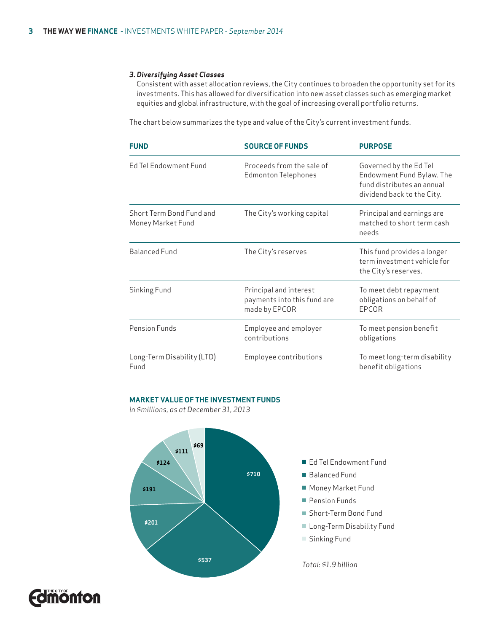#### *3. Diversifying Asset Classes*

 Consistent with asset allocation reviews, the City continues to broaden the opportunity set for its investments. This has allowed for diversification into new asset classes such as emerging market equities and global infrastructure, with the goal of increasing overall portfolio returns.

The chart below summarizes the type and value of the City's current investment funds.

| <b>FUND</b>                                   | <b>SOURCE OF FUNDS</b>                                                 | <b>PURPOSE</b>                                                                                                  |
|-----------------------------------------------|------------------------------------------------------------------------|-----------------------------------------------------------------------------------------------------------------|
| <b>Ed Tel Endowment Fund</b>                  | Proceeds from the sale of<br><b>Edmonton Telephones</b>                | Governed by the Ed Tel<br>Endowment Fund Bylaw. The<br>fund distributes an annual<br>dividend back to the City. |
| Short Term Bond Fund and<br>Money Market Fund | The City's working capital                                             | Principal and earnings are<br>matched to short term cash<br>needs                                               |
| <b>Balanced Fund</b>                          | The City's reserves                                                    | This fund provides a longer<br>term investment vehicle for<br>the City's reserves.                              |
| Sinking Fund                                  | Principal and interest<br>payments into this fund are<br>made by EPCOR | To meet debt repayment<br>obligations on behalf of<br>EPCOR                                                     |
| Pension Funds                                 | Employee and employer<br>contributions                                 | To meet pension benefit<br>obligations                                                                          |
| Long-Term Disability (LTD)<br>Fund            | Employee contributions                                                 | To meet long-term disability<br>benefit obligations                                                             |

#### **MARKET VALUE OF THE INVESTMENT FUNDS**

*in \$millions, as at December 31, 2013*



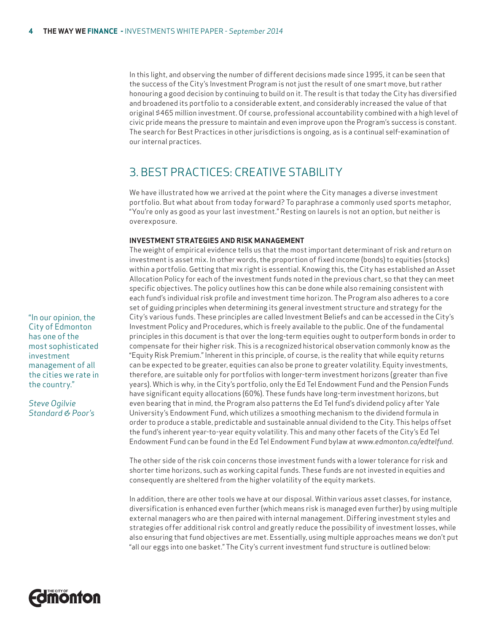In this light, and observing the number of different decisions made since 1995, it can be seen that the success of the City's Investment Program is not just the result of one smart move, but rather honouring a good decision by continuing to build on it. The result is that today the City has diversified and broadened its portfolio to a considerable extent, and considerably increased the value of that original \$465 million investment. Of course, professional accountability combined with a high level of civic pride means the pressure to maintain and even improve upon the Program's success is constant. The search for Best Practices in other jurisdictions is ongoing, as is a continual self-examination of our internal practices.

# 3. BEST PRACTICES: CREATIVE STABILITY

We have illustrated how we arrived at the point where the City manages a diverse investment portfolio. But what about from today forward? To paraphrase a commonly used sports metaphor, "You're only as good as your last investment." Resting on laurels is not an option, but neither is overexposure.

#### **INVESTMENT STRATEGIES AND RISK MANAGEMENT**

The weight of empirical evidence tells us that the most important determinant of risk and return on investment is asset mix. In other words, the proportion of fixed income (bonds) to equities (stocks) within a portfolio. Getting that mix right is essential. Knowing this, the City has established an Asset Allocation Policy for each of the investment funds noted in the previous chart, so that they can meet specific objectives. The policy outlines how this can be done while also remaining consistent with each fund's individual risk profile and investment time horizon. The Program also adheres to a core set of guiding principles when determining its general investment structure and strategy for the City's various funds. These principles are called Investment Beliefs and can be accessed in the City's Investment Policy and Procedures, which is freely available to the public. One of the fundamental principles in this document is that over the long-term equities ought to outperform bonds in order to compensate for their higher risk. This is a recognized historical observation commonly know as the "Equity Risk Premium." Inherent in this principle, of course, is the reality that while equity returns can be expected to be greater, equities can also be prone to greater volatility. Equity investments, therefore, are suitable only for portfolios with longer-term investment horizons (greater than five years). Which is why, in the City's portfolio, only the Ed Tel Endowment Fund and the Pension Funds have significant equity allocations (60%). These funds have long-term investment horizons, but even bearing that in mind, the Program also patterns the Ed Tel fund's dividend policy after Yale University's Endowment Fund, which utilizes a smoothing mechanism to the dividend formula in order to produce a stable, predictable and sustainable annual dividend to the City. This helps offset the fund's inherent year-to-year equity volatility. This and many other facets of the City's Ed Tel Endowment Fund can be found in the Ed Tel Endowment Fund bylaw at *www.edmonton.ca/edtelfund*.

The other side of the risk coin concerns those investment funds with a lower tolerance for risk and shorter time horizons, such as working capital funds. These funds are not invested in equities and consequently are sheltered from the higher volatility of the equity markets.

In addition, there are other tools we have at our disposal. Within various asset classes, for instance, diversification is enhanced even further (which means risk is managed even further) by using multiple external managers who are then paired with internal management. Differing investment styles and strategies offer additional risk control and greatly reduce the possibility of investment losses, while also ensuring that fund objectives are met. Essentially, using multiple approaches means we don't put "all our eggs into one basket." The City's current investment fund structure is outlined below:

"In our opinion, the City of Edmonton has one of the most sophisticated investment management of all the cities we rate in the country."

*Steve Ogilvie Standard & Poor's*

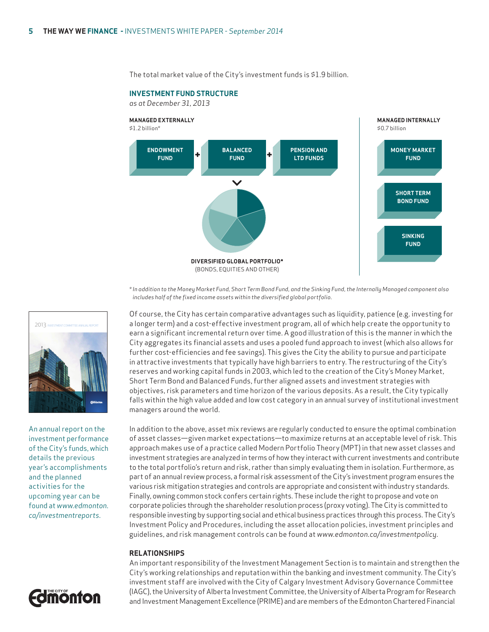The total market value of the City's investment funds is \$1.9 billion.

### **INVESTMENT FUND STRUCTURE**

*as at December 31, 2013*



*\* In addition to the Money Market Fund, Short Term Bond Fund, and the Sinking Fund, the Internally Managed component also includes half of the fixed income assets within the diversified global portfolio.*

Of course, the City has certain comparative advantages such as liquidity, patience (e.g. investing for a longer term) and a cost-effective investment program, all of which help create the opportunity to earn a significant incremental return over time. A good illustration of this is the manner in which the City aggregates its financial assets and uses a pooled fund approach to invest (which also allows for further cost-efficiencies and fee savings). This gives the City the ability to pursue and participate in attractive investments that typically have high barriers to entry. The restructuring of the City's reserves and working capital funds in 2003, which led to the creation of the City's Money Market, Short Term Bond and Balanced Funds, further aligned assets and investment strategies with objectives, risk parameters and time horizon of the various deposits. As a result, the City typically falls within the high value added and low cost category in an annual survey of institutional investment managers around the world.

In addition to the above, asset mix reviews are regularly conducted to ensure the optimal combination of asset classes—given market expectations—to maximize returns at an acceptable level of risk. This approach makes use of a practice called Modern Portfolio Theory (MPT) in that new asset classes and investment strategies are analyzed in terms of how they interact with current investments and contribute to the total portfolio's return and risk, rather than simply evaluating them in isolation. Furthermore, as part of an annual review process, a formal risk assessment of the City's investment program ensures the various risk mitigation strategies and controls are appropriate and consistent with industry standards. Finally, owning common stock confers certain rights. These include the right to propose and vote on corporate policies through the shareholder resolution process (proxy voting). The City is committed to responsible investing by supporting social and ethical business practices through this process. The City's Investment Policy and Procedures, including the asset allocation policies, investment principles and guidelines, and risk management controls can be found at *www.edmonton.ca/investmentpolicy*.

#### **RELATIONSHIPS**

An important responsibility of the Investment Management Section is to maintain and strengthen the City's working relationships and reputation within the banking and investment community. The City's investment staff are involved with the City of Calgary Investment Advisory Governance Committee (IAGC), the University of Alberta Investment Committee, the University of Alberta Program for Research and Investment Management Excellence (PRIME) and are members of the Edmonton Chartered Financial



An annual report on the investment performance of the City's funds, which details the previous year's accomplishments and the planned activities for the upcoming year can be found at *www.edmonton. ca/investmentreports*.

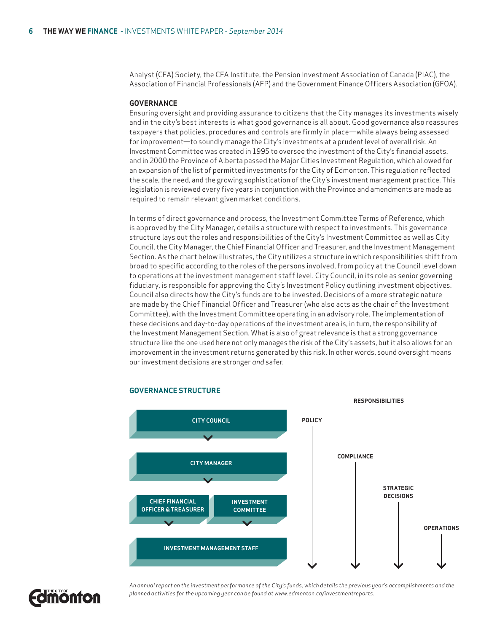Analyst (CFA) Society, the CFA Institute, the Pension Investment Association of Canada (PIAC), the Association of Financial Professionals (AFP) and the Government Finance Officers Association (GFOA).

#### **GOVERNANCE**

Ensuring oversight and providing assurance to citizens that the City manages its investments wisely and in the city's best interests is what good governance is all about. Good governance also reassures taxpayers that policies, procedures and controls are firmly in place—while always being assessed for improvement—to soundly manage the City's investments at a prudent level of overall risk. An Investment Committee was created in 1995 to oversee the investment of the City's financial assets, and in 2000 the Province of Alberta passed the Major Cities Investment Regulation, which allowed for an expansion of the list of permitted investments for the City of Edmonton. This regulation reflected the scale, the need, and the growing sophistication of the City's investment management practice. This legislation is reviewed every five years in conjunction with the Province and amendments are made as required to remain relevant given market conditions.

In terms of direct governance and process, the Investment Committee Terms of Reference, which is approved by the City Manager, details a structure with respect to investments. This governance structure lays out the roles and responsibilities of the City's Investment Committee as well as City Council, the City Manager, the Chief Financial Officer and Treasurer, and the Investment Management Section. As the chart below illustrates, the City utilizes a structure in which responsibilities shift from broad to specific according to the roles of the persons involved, from policy at the Council level down to operations at the investment management staff level. City Council, in its role as senior governing fiduciary, is responsible for approving the City's Investment Policy outlining investment objectives. Council also directs how the City's funds are to be invested. Decisions of a more strategic nature are made by the Chief Financial Officer and Treasurer (who also acts as the chair of the Investment Committee), with the Investment Committee operating in an advisory role. The implementation of these decisions and day-to-day operations of the investment area is, in turn, the responsibility of the Investment Management Section. What is also of great relevance is that a strong governance structure like the one used here not only manages the risk of the City's assets, but it also allows for an improvement in the investment returns generated by this risk. In other words, sound oversight means our investment decisions are stronger *and* safer.



#### **GOVERNANCE STRUCTURE**

**Fomonton** 

*An annual report on the investment performance of the City's funds, which details the previous year's accomplishments and the planned activities for the upcoming year can be found at www.edmonton.ca/investmentreports.*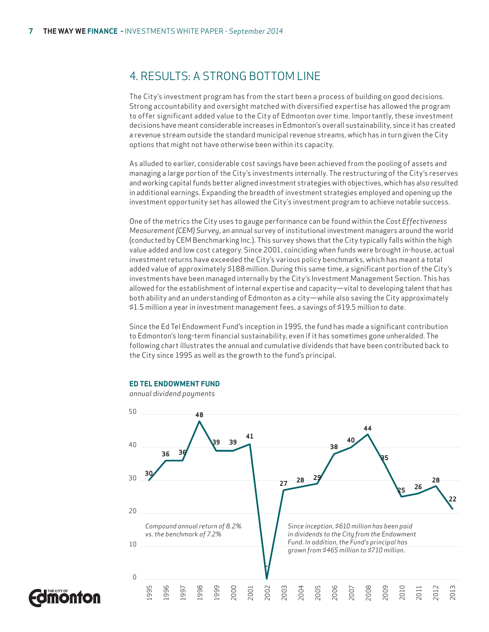# 4. RESULTS: A STRONG BOTTOM LINE

The City's investment program has from the start been a process of building on good decisions. Strong accountability and oversight matched with diversified expertise has allowed the program to offer significant added value to the City of Edmonton over time. Importantly, these investment decisions have meant considerable increases in Edmonton's overall sustainability, since it has created a revenue stream outside the standard municipal revenue streams, which has in turn given the City options that might not have otherwise been within its capacity.

As alluded to earlier, considerable cost savings have been achieved from the pooling of assets and managing a large portion of the City's investments internally. The restructuring of the City's reserves and working capital funds better aligned investment strategies with objectives, which has also resulted in additional earnings. Expanding the breadth of investment strategies employed and opening up the investment opportunity set has allowed the City's investment program to achieve notable success.

One of the metrics the City uses to gauge performance can be found within the *Cost Effectiveness Measurement (CEM) Survey*, an annual survey of institutional investment managers around the world (conducted by CEM Benchmarking Inc.). This survey shows that the City typically falls within the high value added and low cost category. Since 2001, coinciding when funds were brought in-house, actual investment returns have exceeded the City's various policy benchmarks, which has meant a total added value of approximately \$188 million. During this same time, a significant portion of the City's investments have been managed internally by the City's Investment Management Section. This has allowed for the establishment of internal expertise and capacity—vital to developing talent that has both ability and an understanding of Edmonton as a city—while also saving the City approximately \$1.5 million a year in investment management fees, a savings of \$19.5 million to date.

Since the Ed Tel Endowment Fund's inception in 1995, the fund has made a significant contribution to Edmonton's long-term financial sustainability, even if it has sometimes gone unheralded. The following chart illustrates the annual and cumulative dividends that have been contributed back to the City since 1995 as well as the growth to the fund's principal.

#### **ED TEL ENDOWMENT FUND**

*annual dividend payments*



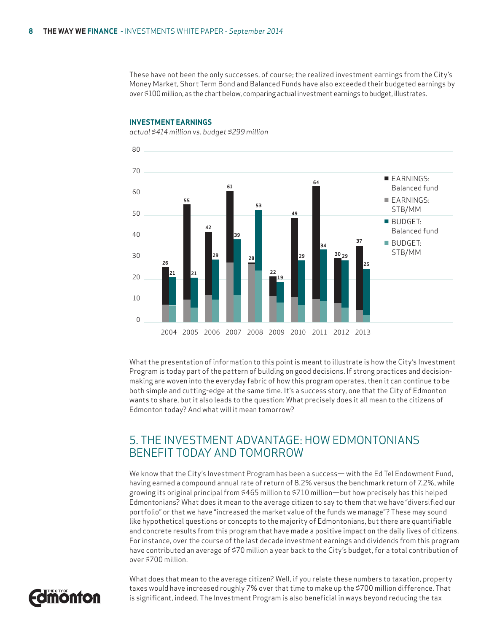These have not been the only successes, of course; the realized investment earnings from the City's Money Market, Short Term Bond and Balanced Funds have also exceeded their budgeted earnings by over \$100 million, as the chart below, comparing actual investment earnings to budget, illustrates.

#### **INVESTMENT EARNINGS**

*actual \$414 million vs. budget \$299 million*



What the presentation of information to this point is meant to illustrate is how the City's Investment Program is today part of the pattern of building on good decisions. If strong practices and decisionmaking are woven into the everyday fabric of how this program operates, then it can continue to be both simple and cutting-edge at the same time. It's a success story, one that the City of Edmonton wants to share, but it also leads to the question: What precisely does it all mean to the citizens of Edmonton today? And what will it mean tomorrow?

## 5. THE INVESTMENT ADVANTAGE: HOW EDMONTONIANS BENEFIT TODAY AND TOMORROW

We know that the City's Investment Program has been a success— with the Ed Tel Endowment Fund, having earned a compound annual rate of return of 8.2% versus the benchmark return of 7.2%, while growing its original principal from \$465 million to \$710 million—but how precisely has this helped Edmontonians? What does it mean to the average citizen to say to them that we have "diversified our portfolio" or that we have "increased the market value of the funds we manage"? These may sound like hypothetical questions or concepts to the majority of Edmontonians, but there are quantifiable and concrete results from this program that have made a positive impact on the daily lives of citizens. For instance, over the course of the last decade investment earnings and dividends from this program have contributed an average of \$70 million a year back to the City's budget, for a total contribution of over \$700 million.



What does that mean to the average citizen? Well, if you relate these numbers to taxation, property taxes would have increased roughly 7% over that time to make up the \$700 million difference. That is significant, indeed. The Investment Program is also beneficial in ways beyond reducing the tax